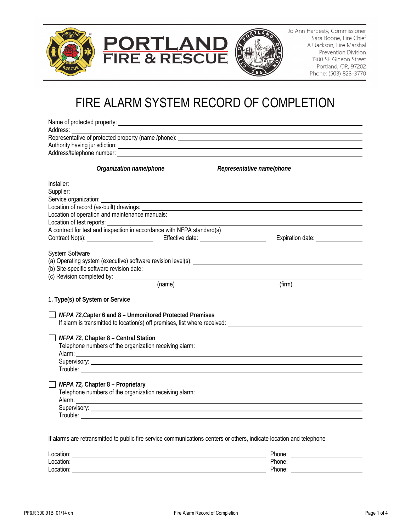



Jo Ann Hardesty, Commissioner Sara Boone, Fire Chief AJ Jackson, Fire Marshal Prevention Division 1300 SE Gideon Street Portland, OR, 97202 Phone: (503) 823-3770

# FIRE ALARM SYSTEM RECORD OF COMPLETION

|                                             | Address/telephone number: example and a state of the state of the state of the state of the state of the state of the state of the state of the state of the state of the state of the state of the state of the state of the        |                            |                                                                                                                                                                                                                                      |
|---------------------------------------------|--------------------------------------------------------------------------------------------------------------------------------------------------------------------------------------------------------------------------------------|----------------------------|--------------------------------------------------------------------------------------------------------------------------------------------------------------------------------------------------------------------------------------|
|                                             | Organization name/phone                                                                                                                                                                                                              |                            | Representative name/phone                                                                                                                                                                                                            |
|                                             |                                                                                                                                                                                                                                      |                            |                                                                                                                                                                                                                                      |
|                                             | Supplier: <u>New York: New York: New York: New York: New York: New York: New York: New York: New York: New York: New York: New York: New York: New York: New York: New York: New York: New York: New York: New York: New York: N</u> |                            |                                                                                                                                                                                                                                      |
| Service organization:                       |                                                                                                                                                                                                                                      |                            |                                                                                                                                                                                                                                      |
|                                             |                                                                                                                                                                                                                                      |                            |                                                                                                                                                                                                                                      |
|                                             |                                                                                                                                                                                                                                      |                            |                                                                                                                                                                                                                                      |
|                                             |                                                                                                                                                                                                                                      |                            |                                                                                                                                                                                                                                      |
|                                             | A contract for test and inspection in accordance with NFPA standard(s)                                                                                                                                                               |                            |                                                                                                                                                                                                                                      |
|                                             |                                                                                                                                                                                                                                      |                            | Expiration date: _________________                                                                                                                                                                                                   |
| (c) Revision completed by: ________________ |                                                                                                                                                                                                                                      | $\left(\text{name}\right)$ | (firm)                                                                                                                                                                                                                               |
| 1. Type(s) of System or Service             |                                                                                                                                                                                                                                      |                            |                                                                                                                                                                                                                                      |
|                                             | $\Box$ NFPA 72, Capter 6 and 8 – Unmonitored Protected Premises<br>If alarm is transmitted to location(s) off premises, list where received:                                                                                         |                            |                                                                                                                                                                                                                                      |
|                                             |                                                                                                                                                                                                                                      |                            |                                                                                                                                                                                                                                      |
|                                             |                                                                                                                                                                                                                                      |                            |                                                                                                                                                                                                                                      |
| $\Box$ NFPA 72, Chapter 8 – Central Station | Telephone numbers of the organization receiving alarm:                                                                                                                                                                               |                            |                                                                                                                                                                                                                                      |
|                                             |                                                                                                                                                                                                                                      |                            |                                                                                                                                                                                                                                      |
|                                             |                                                                                                                                                                                                                                      |                            |                                                                                                                                                                                                                                      |
|                                             |                                                                                                                                                                                                                                      |                            |                                                                                                                                                                                                                                      |
| $\Box$ NFPA 72, Chapter 8 – Proprietary     |                                                                                                                                                                                                                                      |                            |                                                                                                                                                                                                                                      |
|                                             | Telephone numbers of the organization receiving alarm:                                                                                                                                                                               |                            |                                                                                                                                                                                                                                      |
|                                             |                                                                                                                                                                                                                                      |                            | Supervisory: <u>example and the contract of the contract of the contract of the contract of the contract of the contract of the contract of the contract of the contract of the contract of the contract of the contract of the </u> |

| Location: | Phone: |
|-----------|--------|
| Location: | Phone: |
| Location: | Phone. |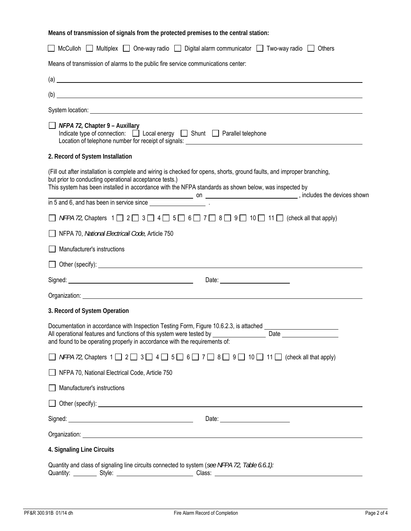**Means of transmission of signals from the protected premises to the central station:** 

|                                                                            | $\left( a\right)$ $\qquad \qquad$ $\qquad \qquad$ $\qquad$ $\qquad$ $\qquad$ $\qquad$ $\qquad$ $\qquad$ $\qquad$ $\qquad$ $\qquad$ $\qquad$ $\qquad$ $\qquad$ $\qquad$ $\qquad$ $\qquad$ $\qquad$ $\qquad$ $\qquad$ $\qquad$ $\qquad$ $\qquad$ $\qquad$ $\qquad$ $\qquad$ $\qquad$ $\qquad$ $\qquad$ $\qquad$ $\qquad$ $\qquad$ $\qquad$ $\qquad$ |
|----------------------------------------------------------------------------|---------------------------------------------------------------------------------------------------------------------------------------------------------------------------------------------------------------------------------------------------------------------------------------------------------------------------------------------------|
|                                                                            | $\overline{a}$ (b) $\overline{a}$                                                                                                                                                                                                                                                                                                                 |
|                                                                            | System location: <u>example and the system</u> control of the system of the system of the system of the system of the system of the system of the system of the system of the system of the system of the system of the system of t                                                                                                               |
| $\Box$ NFPA 72, Chapter 9 – Auxillary                                      | Indicate type of connection: $\Box$ Local energy $\Box$ Shunt $\Box$ Parallel telephone                                                                                                                                                                                                                                                           |
| 2. Record of System Installation                                           |                                                                                                                                                                                                                                                                                                                                                   |
| but prior to conducting operational acceptance tests.)                     | (Fill out after installation is complete and wiring is checked for opens, shorts, ground faults, and improper branching,<br>This system has been installed in accordance with the NFPA standards as shown below, was inspected by                                                                                                                 |
|                                                                            |                                                                                                                                                                                                                                                                                                                                                   |
|                                                                            | <i>NFPA 72,</i> Chapters $1 \square 2 \square 3 \square 4 \square 5 \square 6 \square 7 \square 8 \square 9 \square 10 \square 11 \square$ (check all that apply)                                                                                                                                                                                 |
| NFPA 70, National Electricail Code, Article 750                            |                                                                                                                                                                                                                                                                                                                                                   |
| Manufacturer's instructions                                                |                                                                                                                                                                                                                                                                                                                                                   |
|                                                                            | Other (specify): <u>the contract of the contract of the contract of the contract of the contract of the contract of the contract of the contract of the contract of the contract of the contract of the contract of the contract</u>                                                                                                              |
|                                                                            |                                                                                                                                                                                                                                                                                                                                                   |
|                                                                            | Organization: <u>contract of the contract of the contract of the contract of the contract of the contract of the contract of the contract of the contract of the contract of the contract of the contract of the contract of the</u>                                                                                                              |
| 3. Record of System Operation                                              |                                                                                                                                                                                                                                                                                                                                                   |
| and found to be operating properly in accordance with the requirements of: | Documentation in accordance with Inspection Testing Form, Figure 10.6.2.3, is attached ______________________                                                                                                                                                                                                                                     |
|                                                                            | NFPA 72, Chapters $1 \square 2 \square 3 \square 4 \square 5 \square 6 \square 7 \square 8 \square 9 \square 10 \square 11 \square$ (check all that apply)                                                                                                                                                                                        |
| NFPA 70, National Electrical Code, Article 750                             |                                                                                                                                                                                                                                                                                                                                                   |
| Manufacturer's instructions                                                |                                                                                                                                                                                                                                                                                                                                                   |
|                                                                            |                                                                                                                                                                                                                                                                                                                                                   |
|                                                                            | Date: <u>_________________________</u>                                                                                                                                                                                                                                                                                                            |
|                                                                            |                                                                                                                                                                                                                                                                                                                                                   |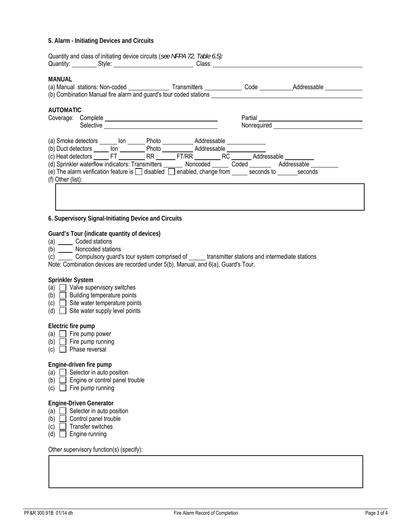#### **5. Alarm - Initiating Devices and Circuits**

| MANUAL                                                                                               |  |  | (a) Manual stations: Non-coded _____________________Transmitters ______________Code _____________Addressable<br>(b) Combination Manual fire alarm and guard's tour coded stations __________________________________ |
|------------------------------------------------------------------------------------------------------|--|--|----------------------------------------------------------------------------------------------------------------------------------------------------------------------------------------------------------------------|
| <b>AUTOMATIC</b>                                                                                     |  |  |                                                                                                                                                                                                                      |
|                                                                                                      |  |  | Partial <u>_________________________________</u>                                                                                                                                                                     |
|                                                                                                      |  |  |                                                                                                                                                                                                                      |
| (a) Smoke detectors ______ lon ______ Photo _________ Addressable _____________                      |  |  |                                                                                                                                                                                                                      |
| (b) Duct detectors ______ lon ____________ Photo _____________ Addressable _______________           |  |  |                                                                                                                                                                                                                      |
| (c) Heat detectors FT RR FT/RR RC Addressable                                                        |  |  |                                                                                                                                                                                                                      |
| (d) Sprinkler waterflow indicators: Transmitters Moncoded Coded Addressable                          |  |  |                                                                                                                                                                                                                      |
| (e) The alarm verification feature is $\Box$ disabled $\Box$ enabled, change from seconds to seconds |  |  |                                                                                                                                                                                                                      |
| (f) Other (list):                                                                                    |  |  |                                                                                                                                                                                                                      |

# **6. Supervisory Signal-Initiating Device and Circuits**

# **Guard's Tour (indicate quantity of devices)**

- (a) Coded stations
- (b) Noncoded stations

| Compulsory guard's tour system comprised of                                        | transmitter stations and intermediate stations |
|------------------------------------------------------------------------------------|------------------------------------------------|
| Note: Combination devices are recorded under 5(b), Manual, and 6(a), Guard's Tour. |                                                |

#### **Sprinkler System**

- $(a)$   $\Box$  Valve supervisory switches
- $(b)$  Building temperature points
- (c)  $\Box$  Site water temperature points
- $(d)$  Site water supply level points

#### **Electric fire pump**

- (a)  $\Box$  Fire pump power
- (b)  $\Box$  Fire pump running
- $(c)$  **Phase reversal**

### **Engine-driven fire pump**

- (a)  $\Box$  Selector in auto position
- $(b)$   $\Box$  Engine or control panel trouble
- $(c)$  Fire pump running

# **Engine-Driven Generator**

- (a)  $\Box$  Selector in auto position
- $(b)$   $\Box$  Control panel trouble
- $(c)$  Transfer switches
- (d)  $\Box$  Engine running

Other supervisory function(s) (specify):